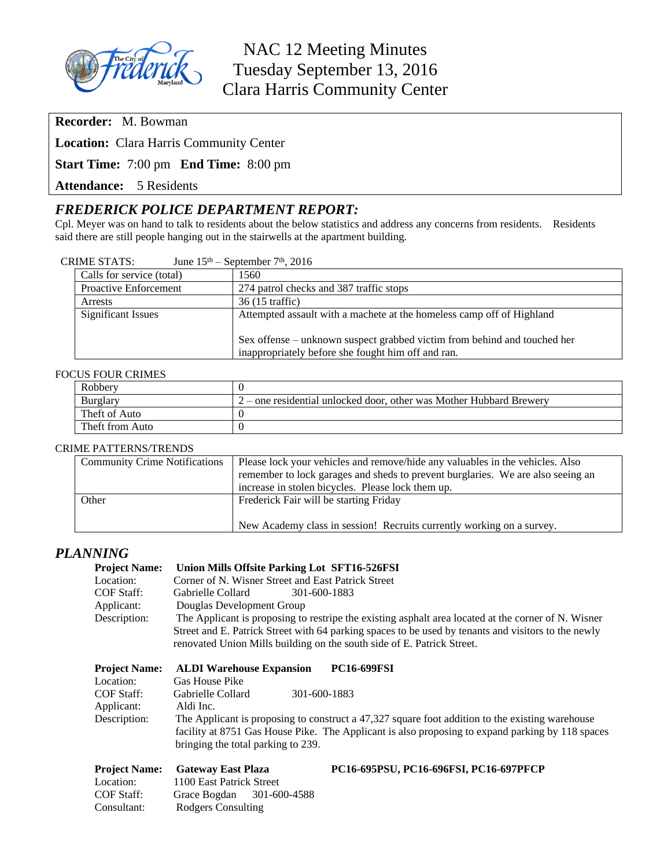

NAC 12 Meeting Minutes Tuesday September 13, 2016 Clara Harris Community Center

**Recorder:** M. Bowman

**Location:** Clara Harris Community Center

**Start Time:** 7:00 pm **End Time:** 8:00 pm

**Attendance:** 5 Residents

# *FREDERICK POLICE DEPARTMENT REPORT:*

Cpl. Meyer was on hand to talk to residents about the below statistics and address any concerns from residents. Residents said there are still people hanging out in the stairwells at the apartment building.

| <b>CRIME STATS:</b> | June $15th$ – September 7 <sup>th</sup> , 2016 |
|---------------------|------------------------------------------------|
|---------------------|------------------------------------------------|

| Calls for service (total)    | 1560                                                                     |
|------------------------------|--------------------------------------------------------------------------|
| <b>Proactive Enforcement</b> | 274 patrol checks and 387 traffic stops                                  |
| Arrests                      | 36 (15 traffic)                                                          |
| <b>Significant Issues</b>    | Attempted assault with a machete at the homeless camp off of Highland    |
|                              |                                                                          |
|                              | Sex offense – unknown suspect grabbed victim from behind and touched her |
|                              | inappropriately before she fought him off and ran.                       |

#### FOCUS FOUR CRIMES

| Robbery         |                                                                     |
|-----------------|---------------------------------------------------------------------|
| <b>Burglary</b> | 2 – one residential unlocked door, other was Mother Hubbard Brewery |
| Theft of Auto   |                                                                     |
| Theft from Auto |                                                                     |

#### CRIME PATTERNS/TRENDS

| <b>Community Crime Notifications</b> | Please lock your vehicles and remove/hide any valuables in the vehicles. Also   |  |
|--------------------------------------|---------------------------------------------------------------------------------|--|
|                                      | remember to lock garages and sheds to prevent burglaries. We are also seeing an |  |
|                                      | increase in stolen bicycles. Please lock them up.                               |  |
| Other                                | Frederick Fair will be starting Friday                                          |  |
|                                      | New Academy class in session! Recruits currently working on a survey.           |  |

#### *PLANNING*

| <b>Project Name:</b> | Union Mills Offsite Parking Lot SFT16-526FSI                                                        |
|----------------------|-----------------------------------------------------------------------------------------------------|
| Location:            | Corner of N. Wisner Street and East Patrick Street                                                  |
| COF Staff:           | Gabrielle Collard<br>301-600-1883                                                                   |
| Applicant:           | Douglas Development Group                                                                           |
| Description:         | The Applicant is proposing to restripe the existing asphalt area located at the corner of N. Wisner |
|                      | Street and E. Patrick Street with 64 parking spaces to be used by tenants and visitors to the newly |
|                      | renovated Union Mills building on the south side of E. Patrick Street.                              |

| <b>Project Name:</b> | <b>ALDI Warehouse Expansion</b><br><b>PC16-699FSI</b>                                                                                                                                                                                     |
|----------------------|-------------------------------------------------------------------------------------------------------------------------------------------------------------------------------------------------------------------------------------------|
| Location:            | <b>Gas House Pike</b>                                                                                                                                                                                                                     |
| <b>COF Staff:</b>    | Gabrielle Collard<br>301-600-1883                                                                                                                                                                                                         |
| Applicant:           | Aldi Inc.                                                                                                                                                                                                                                 |
| Description:         | The Applicant is proposing to construct a 47,327 square foot addition to the existing warehouse<br>facility at 8751 Gas House Pike. The Applicant is also proposing to expand parking by 118 spaces<br>bringing the total parking to 239. |

| <b>Project Name:</b> | <b>Gateway East Plaza</b> |  |
|----------------------|---------------------------|--|
| Location:            | 1100 East Patrick Street  |  |
| <b>COF Staff:</b>    | Grace Bogdan 301-600-4588 |  |
| Consultant:          | Rodgers Consulting        |  |

#### **Project Name: Gateway East Plaza PC16-695PSU, PC16-696FSI, PC16-697PFCP**